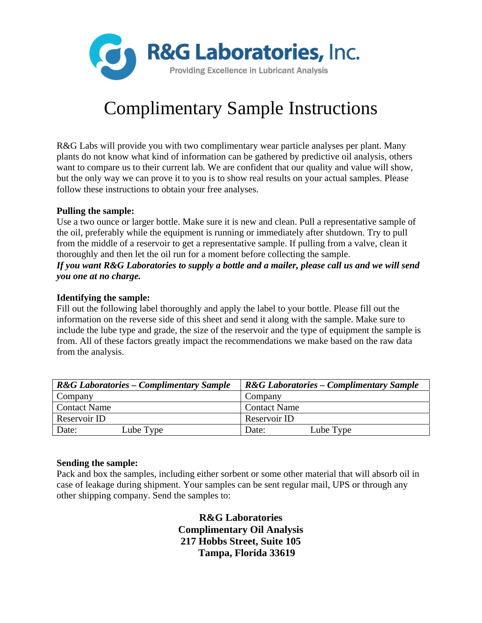

# Complimentary Sample Instructions

R&G Labs will provide you with two complimentary wear particle analyses per plant. Many plants do not know what kind of information can be gathered by predictive oil analysis, others want to compare us to their current lab. We are confident that our quality and value will show, but the only way we can prove it to you is to show real results on your actual samples. Please follow these instructions to obtain your free analyses.

## **Pulling the sample:**

Use a two ounce or larger bottle. Make sure it is new and clean. Pull a representative sample of the oil, preferably while the equipment is running or immediately after shutdown. Try to pull from the middle of a reservoir to get a representative sample. If pulling from a valve, clean it thoroughly and then let the oil run for a moment before collecting the sample.

## *If you want R&G Laboratories to supply a bottle and a mailer, please call us and we will send you one at no charge.*

#### **Identifying the sample:**

Fill out the following label thoroughly and apply the label to your bottle. Please fill out the information on the reverse side of this sheet and send it along with the sample. Make sure to include the lube type and grade, the size of the reservoir and the type of equipment the sample is from. All of these factors greatly impact the recommendations we make based on the raw data from the analysis.

| <b>R&amp;G</b> Laboratories – Complimentary Sample | <b>R&amp;G Laboratories – Complimentary Sample</b> |  |  |
|----------------------------------------------------|----------------------------------------------------|--|--|
| Company                                            | Company                                            |  |  |
| <b>Contact Name</b>                                | <b>Contact Name</b>                                |  |  |
| Reservoir ID                                       | Reservoir ID                                       |  |  |
| Lube Type<br>Date:                                 | Lube Type<br>Date:                                 |  |  |

#### **Sending the sample:**

Pack and box the samples, including either sorbent or some other material that will absorb oil in case of leakage during shipment. Your samples can be sent regular mail, UPS or through any other shipping company. Send the samples to:

> **R&G Laboratories Complimentary Oil Analysis 217 Hobbs Street, Suite 105 Tampa, Florida 33619**